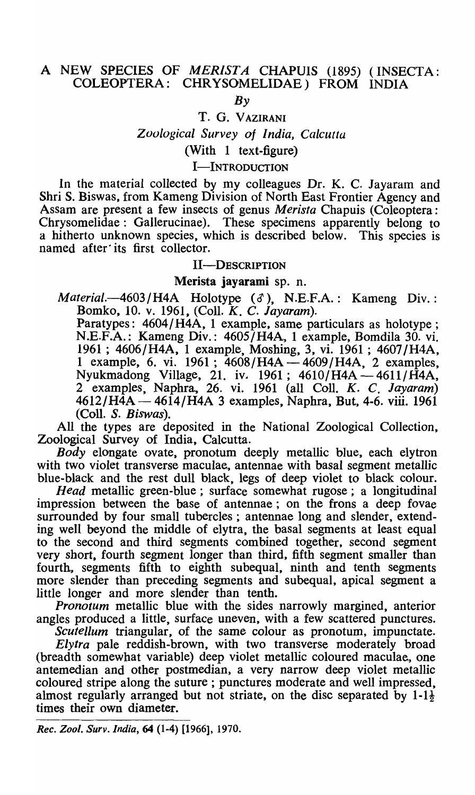# A NEW SPECIES OF MERISTA CHAPUIS (1895) (INSECTA: COLEOPTERA: CHR YSOMELIDAE) FROM INDIA

 $Bv$ 

#### T. G. VAZIRANI

#### *ZooLogical Survey of I ndia, Calcutta*

## (With 1 text-figure)

### I-INTRODUCTION

In the material collected by my colleagues Dr. K. C. Jayaram and Shri S. Biswas, from Kameng Division of North East Frontier Agency and Assam are present a few insects of genus *Merista* Chapuis (Coleoptera: Chrysomelidae: Gallerucinae). These specimens apparently belong to a hitherto unknown species, which is described below. This species is named after its first collector.

#### II-DESCRIPTION

#### Merista jayarami sp. n.

*Material.*-4603/H4A Holotype ( $\delta$ ), N.E.F.A.: Kameng Div.: Bomko, 10. v. 1961, (ColI. *K.* C. *Jayaram).* 

Paratypes: 4604/ H4A, 1 example, same particulars as holotype ; N.E.F.A.: Kameng Div.: 4605/H4A, 1 example, Bomdila 30. vi. 1961 ; 4606/H4A, 1 example, Moshing, 3, vi. 1961 ; 4607/H4A, 1 example, 6. vi. 1961; 4608/H4A - 4609/H4A, 2 examples, Nyukmadong Village, 21. iv. 1961; 4610/H4A-4611/H4A, 2 examples, Naphra, 26. vi. 1961 (all ColI. K. C. *Jayaram)*   $4612/H\AA - 4614/H\AA - 3$  examples, Naphra, But, 4-6. viii. 1961 (ColI. *S. Biswas).* 

All the types are deposited in the National Zoological Collection, Zoological Survey of India, Calcutta.

*Body* elongate ovate, pronotum deeply metallic blue, each elytron with two violet transverse maculae, antennae with basal segment metallic blue-black and the rest dull black, legs of deep violet to black colour.

*Head* metallic green-blue; surface somewhat rugose; a longitudinal impression between the base of antennae; on the frons a deep fovae surrounded by four small tubercles; antennae long and slender, extending well beyond the middle of elytra, the basal segments at least equal to the second and third segments combined together, second segment very short, fourth segment longer than third, fifth segment smaller than fourth, segments fifth to eighth subequal, ninth and tenth segments more slender than preceding segments and subequal, apical segment a little longer and more slender than tenth.

*Pronotum* metallic blue with the sides narrowly margined, anterior angles produced a little, surface uneven, with a few scattered punctures.

*Scutellum* triangular, of the same colour as pronotum, impunctate.

*Elytra* pale reddish-brown, with two transverse moderately broad (breadth somewhat variable) deep violet metallic coloured maculae, one antemedian and other postmedian, a very narrow deep violet metallic coloured stripe along the suture; punctures moderate and well impressed, almost regularly arranged but not striate, on the disc separated by  $1-1\frac{1}{2}$ times their own diameter.

*Rec. Zool. Surv. India,* 64 (1-4) [1966], 1970.